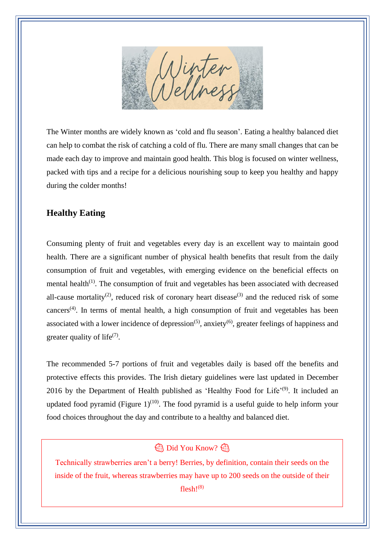

The Winter months are widely known as 'cold and flu season'. Eating a healthy balanced diet can help to combat the risk of catching a cold of flu. There are many small changes that can be made each day to improve and maintain good health. This blog is focused on winter wellness, packed with tips and a recipe for a delicious nourishing soup to keep you healthy and happy during the colder months!

## **Healthy Eating**

Consuming plenty of fruit and vegetables every day is an excellent way to maintain good health. There are a significant number of physical health benefits that result from the daily consumption of fruit and vegetables, with emerging evidence on the beneficial effects on mental health<sup>(1)</sup>. The consumption of fruit and vegetables has been associated with decreased all-cause mortality<sup>(2)</sup>, reduced risk of coronary heart disease<sup>(3)</sup> and the reduced risk of some cancers<sup>(4)</sup>. In terms of mental health, a high consumption of fruit and vegetables has been associated with a lower incidence of depression<sup>(5)</sup>, anxiety<sup>(6)</sup>, greater feelings of happiness and greater quality of life $(7)$ .

The recommended 5-7 portions of fruit and vegetables daily is based off the benefits and protective effects this provides. The Irish dietary guidelines were last updated in December 2016 by the Department of Health published as 'Healthy Food for Life'<sup>(9)</sup>. It included an updated food pyramid (Figure  $1$ )<sup>(10)</sup>. The food pyramid is a useful guide to help inform your food choices throughout the day and contribute to a healthy and balanced diet.

## **B** Did You Know?

Technically strawberries aren't a berry! Berries, by definition, contain their seeds on the inside of the fruit, whereas strawberries may have up to 200 seeds on the outside of their flesh! $(8)$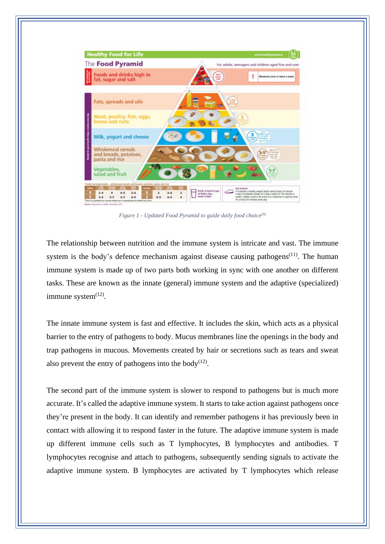

*Figure 1 - Updated Food Pyramid to guide daily food choice(9)*

The relationship between nutrition and the immune system is intricate and vast. The immune system is the body's defence mechanism against disease causing pathogens<sup> $(11)$ </sup>. The human immune system is made up of two parts both working in sync with one another on different tasks. These are known as the innate (general) immune system and the adaptive (specialized) immune system<sup>(12)</sup>.

The innate immune system is fast and effective. It includes the skin, which acts as a physical barrier to the entry of pathogens to body. Mucus membranes line the openings in the body and trap pathogens in mucous. Movements created by hair or secretions such as tears and sweat also prevent the entry of pathogens into the body $(12)$ .

The second part of the immune system is slower to respond to pathogens but is much more accurate. It's called the adaptive immune system. It starts to take action against pathogens once they're present in the body. It can identify and remember pathogens it has previously been in contact with allowing it to respond faster in the future. The adaptive immune system is made up different immune cells such as T lymphocytes, B lymphocytes and antibodies. T lymphocytes recognise and attach to pathogens, subsequently sending signals to activate the adaptive immune system. B lymphocytes are activated by T lymphocytes which release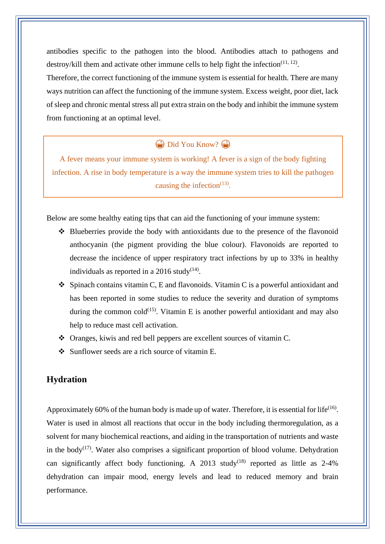antibodies specific to the pathogen into the blood. Antibodies attach to pathogens and destroy/kill them and activate other immune cells to help fight the infection $(11, 12)$ .

Therefore, the correct functioning of the immune system is essential for health. There are many ways nutrition can affect the functioning of the immune system. Excess weight, poor diet, lack of sleep and chronic mental stress all put extra strain on the body and inhibit the immune system from functioning at an optimal level.

 $\bigoplus$  Did You Know?

A fever means your immune system is working! A fever is a sign of the body fighting infection. A rise in body temperature is a way the immune system tries to kill the pathogen causing the infection $(13)$ .

Below are some healthy eating tips that can aid the functioning of your immune system:

- ❖ Blueberries provide the body with antioxidants due to the presence of the flavonoid anthocyanin (the pigment providing the blue colour). Flavonoids are reported to decrease the incidence of upper respiratory tract infections by up to 33% in healthy individuals as reported in a 2016 study<sup>(14)</sup>.
- $\bullet$  Spinach contains vitamin C, E and flavonoids. Vitamin C is a powerful antioxidant and has been reported in some studies to reduce the severity and duration of symptoms during the common cold<sup> $(15)$ </sup>. Vitamin E is another powerful antioxidant and may also help to reduce mast cell activation.
- ❖ Oranges, kiwis and red bell peppers are excellent sources of vitamin C.
- ❖ Sunflower seeds are a rich source of vitamin E.

### **Hydration**

Approximately 60% of the human body is made up of water. Therefore, it is essential for life<sup>(16)</sup>. Water is used in almost all reactions that occur in the body including thermoregulation, as a solvent for many biochemical reactions, and aiding in the transportation of nutrients and waste in the body<sup>(17)</sup>. Water also comprises a significant proportion of blood volume. Dehydration can significantly affect body functioning. A 2013 study<sup>(18)</sup> reported as little as  $2-4\%$ dehydration can impair mood, energy levels and lead to reduced memory and brain performance.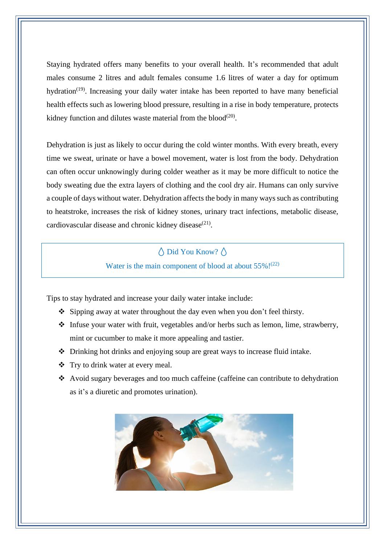Staying hydrated offers many benefits to your overall health. It's recommended that adult males consume 2 litres and adult females consume 1.6 litres of water a day for optimum hydration<sup>(19)</sup>. Increasing your daily water intake has been reported to have many beneficial health effects such as lowering blood pressure, resulting in a rise in body temperature, protects kidney function and dilutes waste material from the blood $(20)$ .

Dehydration is just as likely to occur during the cold winter months. With every breath, every time we sweat, urinate or have a bowel movement, water is lost from the body. Dehydration can often occur unknowingly during colder weather as it may be more difficult to notice the body sweating due the extra layers of clothing and the cool dry air. Humans can only survive a couple of days without water. Dehydration affects the body in many ways such as contributing to heatstroke, increases the risk of kidney stones, urinary tract infections, metabolic disease, cardiovascular disease and chronic kidney disease<sup>(21)</sup>.

# $\bigwedge$  Did You Know?  $\bigwedge$

Water is the main component of blood at about  $55\%$ !<sup>(22)</sup>

Tips to stay hydrated and increase your daily water intake include:

- ❖ Sipping away at water throughout the day even when you don't feel thirsty.
- ❖ Infuse your water with fruit, vegetables and/or herbs such as lemon, lime, strawberry, mint or cucumber to make it more appealing and tastier.
- ❖ Drinking hot drinks and enjoying soup are great ways to increase fluid intake.
- ❖ Try to drink water at every meal.
- ❖ Avoid sugary beverages and too much caffeine (caffeine can contribute to dehydration as it's a diuretic and promotes urination).

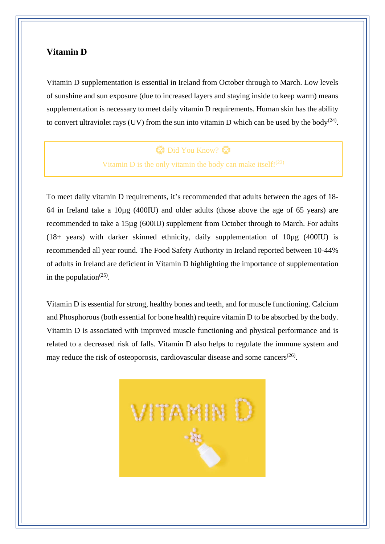### **Vitamin D**

Vitamin D supplementation is essential in Ireland from October through to March. Low levels of sunshine and sun exposure (due to increased layers and staying inside to keep warm) means supplementation is necessary to meet daily vitamin D requirements. Human skin has the ability to convert ultraviolet rays (UV) from the sun into vitamin D which can be used by the body<sup>(24)</sup>.

## **卷** Did You Know? 卷

Vitamin D is the only vitamin the body can make itself! $(23)$ 

To meet daily vitamin D requirements, it's recommended that adults between the ages of 18- 64 in Ireland take a 10µg (400IU) and older adults (those above the age of 65 years) are recommended to take a 15µg (600IU) supplement from October through to March. For adults (18+ years) with darker skinned ethnicity, daily supplementation of 10µg (400IU) is recommended all year round. The Food Safety Authority in Ireland reported between 10-44% of adults in Ireland are deficient in Vitamin D highlighting the importance of supplementation in the population<sup> $(25)$ </sup>.

Vitamin D is essential for strong, healthy bones and teeth, and for muscle functioning. Calcium and Phosphorous (both essential for bone health) require vitamin D to be absorbed by the body. Vitamin D is associated with improved muscle functioning and physical performance and is related to a decreased risk of falls. Vitamin D also helps to regulate the immune system and may reduce the risk of osteoporosis, cardiovascular disease and some cancers<sup>(26)</sup>.

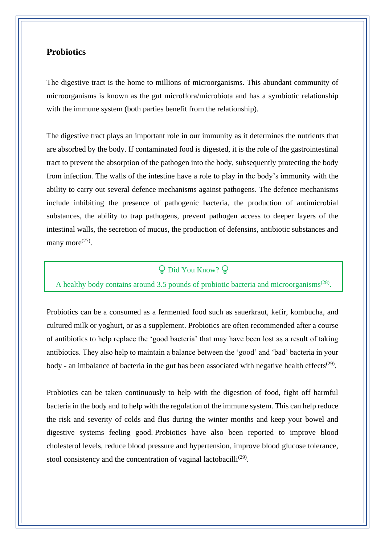## **Probiotics**

The digestive tract is the home to millions of microorganisms. This abundant community of microorganisms is known as the gut microflora/microbiota and has a symbiotic relationship with the immune system (both parties benefit from the relationship).

The digestive tract plays an important role in our immunity as it determines the nutrients that are absorbed by the body. If contaminated food is digested, it is the role of the gastrointestinal tract to prevent the absorption of the pathogen into the body, subsequently protecting the body from infection. The walls of the intestine have a role to play in the body's immunity with the ability to carry out several defence mechanisms against pathogens. The defence mechanisms include inhibiting the presence of pathogenic bacteria, the production of antimicrobial substances, the ability to trap pathogens, prevent pathogen access to deeper layers of the intestinal walls, the secretion of mucus, the production of defensins, antibiotic substances and many more $^{(27)}$ .

# $\mathbb Q$  Did You Know?  $\mathbb Q$

### A healthy body contains around 3.5 pounds of probiotic bacteria and microorganisms<sup> $(28)$ </sup>.

Probiotics can be a consumed as a fermented food such as sauerkraut, kefir, kombucha, and cultured milk or yoghurt, or as a supplement. Probiotics are often recommended after a course of antibiotics to help replace the 'good bacteria' that may have been lost as a result of taking antibiotics. They also help to maintain a balance between the 'good' and 'bad' bacteria in your body - an imbalance of bacteria in the gut has been associated with negative health effects<sup>(29)</sup>.

Probiotics can be taken continuously to help with the digestion of food, fight off harmful bacteria in the body and to help with the regulation of the immune system. This can help reduce the risk and severity of colds and flus during the winter months and keep your bowel and digestive systems feeling good. Probiotics have also been reported to improve blood cholesterol levels, reduce blood pressure and hypertension, improve blood glucose tolerance, stool consistency and the concentration of vaginal lactobacilli<sup>(29)</sup>.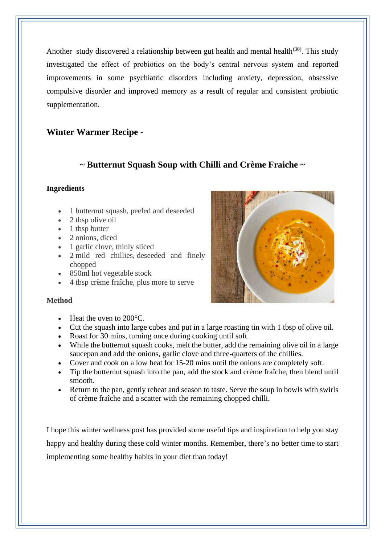Another study discovered a relationship between gut health and mental health<sup>(30)</sup>. This study investigated the effect of probiotics on the body's central nervous system and reported improvements in some psychiatric disorders including anxiety, depression, obsessive compulsive disorder and improved memory as a result of regular and consistent probiotic supplementation.

## **Winter Warmer Recipe -**

## **~ Butternut Squash Soup with Chilli and Crème Fraiche ~**

### **Ingredients**

- 1 butternut squash, peeled and deseeded
- 2 tbsp olive oil
- 1 tbsp butter
- 2 onions, diced
- 1 garlic clove, thinly sliced
- 2 mild red chillies, deseeded and finely chopped
- 850ml hot vegetable stock
- 4 tbsp crème fraîche, plus more to serve



#### **Method**

- Heat the oven to 200 °C.
- [Cut](https://www.bbcgoodfood.com/content/top-five-paring-knives) the squash into large cubes and put in a [large roasting tin](http://www.bbcgoodfood.com/review/test-five-best-roasting-tins) with 1 tbsp of olive oil.
- Roast for 30 mins, turning once during cooking until soft.
- While the butternut squash cooks, melt the butter, add the remaining olive oil in a large [saucepan](https://www.bbcgoodfood.com/review/best-saute-pans) and add the onions, garlic clove and three-quarters of the chillies.
- Cover and cook on a low heat for 15-20 mins until the onions are completely soft.
- Tip the butternut squash into the pan, add the stock and crème fraîche, then blend until smooth.
- Return to the pan, gently reheat and season to taste. Serve the soup in bowls with swirls of crème fraîche and a scatter with the remaining chopped chilli.

I hope this winter wellness post has provided some useful tips and inspiration to help you stay happy and healthy during these cold winter months. Remember, there's no better time to start implementing some healthy habits in your diet than today!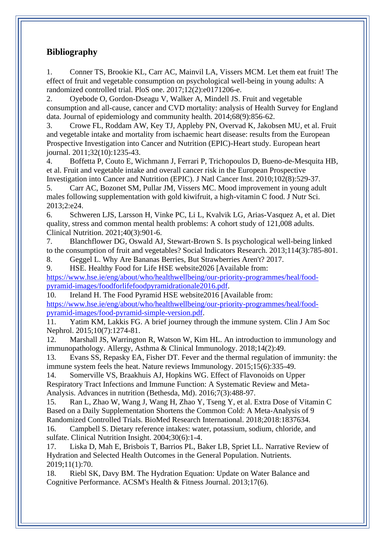## **Bibliography**

1. Conner TS, Brookie KL, Carr AC, Mainvil LA, Vissers MCM. Let them eat fruit! The effect of fruit and vegetable consumption on psychological well-being in young adults: A randomized controlled trial. PloS one. 2017;12(2):e0171206-e.

2. Oyebode O, Gordon-Dseagu V, Walker A, Mindell JS. Fruit and vegetable consumption and all-cause, cancer and CVD mortality: analysis of Health Survey for England data. Journal of epidemiology and community health. 2014;68(9):856-62.

3. Crowe FL, Roddam AW, Key TJ, Appleby PN, Overvad K, Jakobsen MU, et al. Fruit and vegetable intake and mortality from ischaemic heart disease: results from the European Prospective Investigation into Cancer and Nutrition (EPIC)-Heart study. European heart journal. 2011;32(10):1235-43.

4. Boffetta P, Couto E, Wichmann J, Ferrari P, Trichopoulos D, Bueno-de-Mesquita HB, et al. Fruit and vegetable intake and overall cancer risk in the European Prospective Investigation into Cancer and Nutrition (EPIC). J Natl Cancer Inst. 2010;102(8):529-37.

5. Carr AC, Bozonet SM, Pullar JM, Vissers MC. Mood improvement in young adult males following supplementation with gold kiwifruit, a high-vitamin C food. J Nutr Sci. 2013;2:e24.

6. Schweren LJS, Larsson H, Vinke PC, Li L, Kvalvik LG, Arias-Vasquez A, et al. Diet quality, stress and common mental health problems: A cohort study of 121,008 adults. Clinical Nutrition. 2021;40(3):901-6.

7. Blanchflower DG, Oswald AJ, Stewart-Brown S. Is psychological well-being linked to the consumption of fruit and vegetables? Social Indicators Research. 2013;114(3):785-801.

8. Geggel L. Why Are Bananas Berries, But Strawberries Aren't? 2017.

9. HSE. Healthy Food for Life HSE website2026 [Available from: [https://www.hse.ie/eng/about/who/healthwellbeing/our-priority-programmes/heal/food](https://www.hse.ie/eng/about/who/healthwellbeing/our-priority-programmes/heal/food-pyramid-images/foodforlifefoodpyramidrationale2016.pdf)[pyramid-images/foodforlifefoodpyramidrationale2016.pdf.](https://www.hse.ie/eng/about/who/healthwellbeing/our-priority-programmes/heal/food-pyramid-images/foodforlifefoodpyramidrationale2016.pdf)

10. Ireland H. The Food Pyramid HSE website2016 [Available from: [https://www.hse.ie/eng/about/who/healthwellbeing/our-priority-programmes/heal/food](https://www.hse.ie/eng/about/who/healthwellbeing/our-priority-programmes/heal/food-pyramid-images/food-pyramid-simple-version.pdf)[pyramid-images/food-pyramid-simple-version.pdf.](https://www.hse.ie/eng/about/who/healthwellbeing/our-priority-programmes/heal/food-pyramid-images/food-pyramid-simple-version.pdf)

11. Yatim KM, Lakkis FG. A brief journey through the immune system. Clin J Am Soc Nephrol. 2015;10(7):1274-81.

12. Marshall JS, Warrington R, Watson W, Kim HL. An introduction to immunology and immunopathology. Allergy, Asthma & Clinical Immunology. 2018;14(2):49.

13. Evans SS, Repasky EA, Fisher DT. Fever and the thermal regulation of immunity: the immune system feels the heat. Nature reviews Immunology. 2015;15(6):335-49.

14. Somerville VS, Braakhuis AJ, Hopkins WG. Effect of Flavonoids on Upper Respiratory Tract Infections and Immune Function: A Systematic Review and Meta-Analysis. Advances in nutrition (Bethesda, Md). 2016;7(3):488-97.

15. Ran L, Zhao W, Wang J, Wang H, Zhao Y, Tseng Y, et al. Extra Dose of Vitamin C Based on a Daily Supplementation Shortens the Common Cold: A Meta-Analysis of 9 Randomized Controlled Trials. BioMed Research International. 2018;2018:1837634.

16. Campbell S. Dietary reference intakes: water, potassium, sodium, chloride, and sulfate. Clinical Nutrition Insight. 2004;30(6):1-4.

17. Liska D, Mah E, Brisbois T, Barrios PL, Baker LB, Spriet LL. Narrative Review of Hydration and Selected Health Outcomes in the General Population. Nutrients. 2019;11(1):70.

18. Riebl SK, Davy BM. The Hydration Equation: Update on Water Balance and Cognitive Performance. ACSM's Health & Fitness Journal. 2013;17(6).